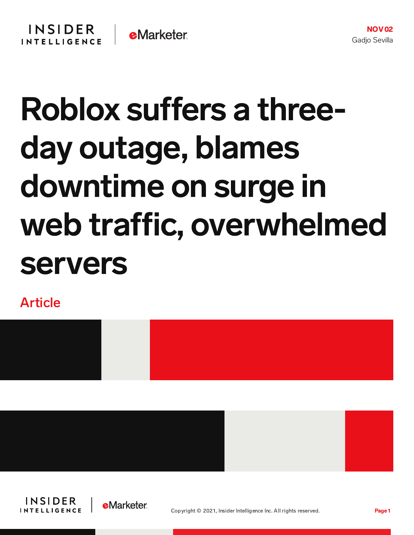## Roblox suffers a threeday outage, blames downtime on surge in web traffic, overwhelmed servers

Article









**NOV<sub>02</sub>** 

Gadjo Sevilla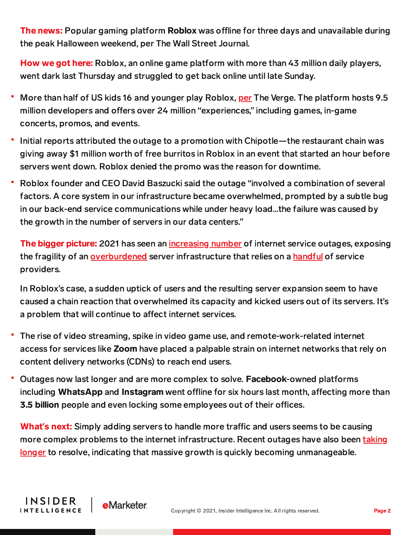The news: Popular gaming platform Roblox was offline for three days and unavailable during the peak Halloween weekend, per The Wall Street Journal.

How we got here: Roblox, an online game platform with more than 43 million daily players, went dark last Thursday and struggled to get back online until late Sunday.

- More than half of US kids 16 and younger play Roblox, [per](https://www.theverge.com/2020/7/21/21333431/roblox-over-half-of-us-kids-playing-virtual-parties-fortnite) The Verge. The platform hosts 9.5 million developers and offers over 24 million "experiences," including games, in-game concerts, promos, and events.
- Initial reports attributed the outage to a promotion with Chipotle—the restaurant chain was giving away \$1 million worth of free burritos in Roblox in an event that started an hour before servers went down. Roblox denied the promo was the reason for downtime.
- Roblox founder and CEO David Baszucki said the outage "involved a combination of several factors. A core system in our infrastructure became overwhelmed, prompted by a subtle bug in our back-end service communications while under heavy load…the failure was caused by the growth in the number of servers in our data centers."

**The bigger picture:** 2021 has seen an [increasing](https://www.spglobal.com/marketintelligence/en/news-insights/latest-news-headlines/global-internet-outages-continue-to-increase-in-last-week-of-august-66355295) number of internet service outages, exposing the fragility of an [overburdened](https://content-na2.emarketer.com/another-massive-internet-outage-takes-down-amazon-fedex-other-major-sites) server infrastructure that relies on a [handful](https://content-na2.emarketer.com/google-s-worldwide-outage-reminded-us-just-how-big-really) of service providers.

In Roblox's case, a sudden uptick of users and the resulting server expansion seem to have caused a chain reaction that overwhelmed its capacity and kicked users out of its servers. It's a problem that will continue to affect internet services.

- The rise of video streaming, spike in video game use, and remote-work-related internet access for services like **Zoom** have placed a palpable strain on internet networks that rely on content delivery networks (CDNs) to reach end users.
- Outages now last longer and are more complex to solve. Facebook-owned platforms including WhatsApp and Instagram went offline for six hours last month, affecting more than 3.5 billion people and even locking some employees out of their offices.

**What's next:** Simply adding servers to handle more traffic and users seems to be causing more complex problems to the internet infrastructure. Recent outages have also been taking longer to resolve, indicating that massive growth is quickly becoming [unmanageable.](https://www.zdnet.com/article/facebooks-giant-outage-this-change-caused-all-the-problems/)

**INSIDER** 

**INTELLIGENCE** 

**eMarketer**